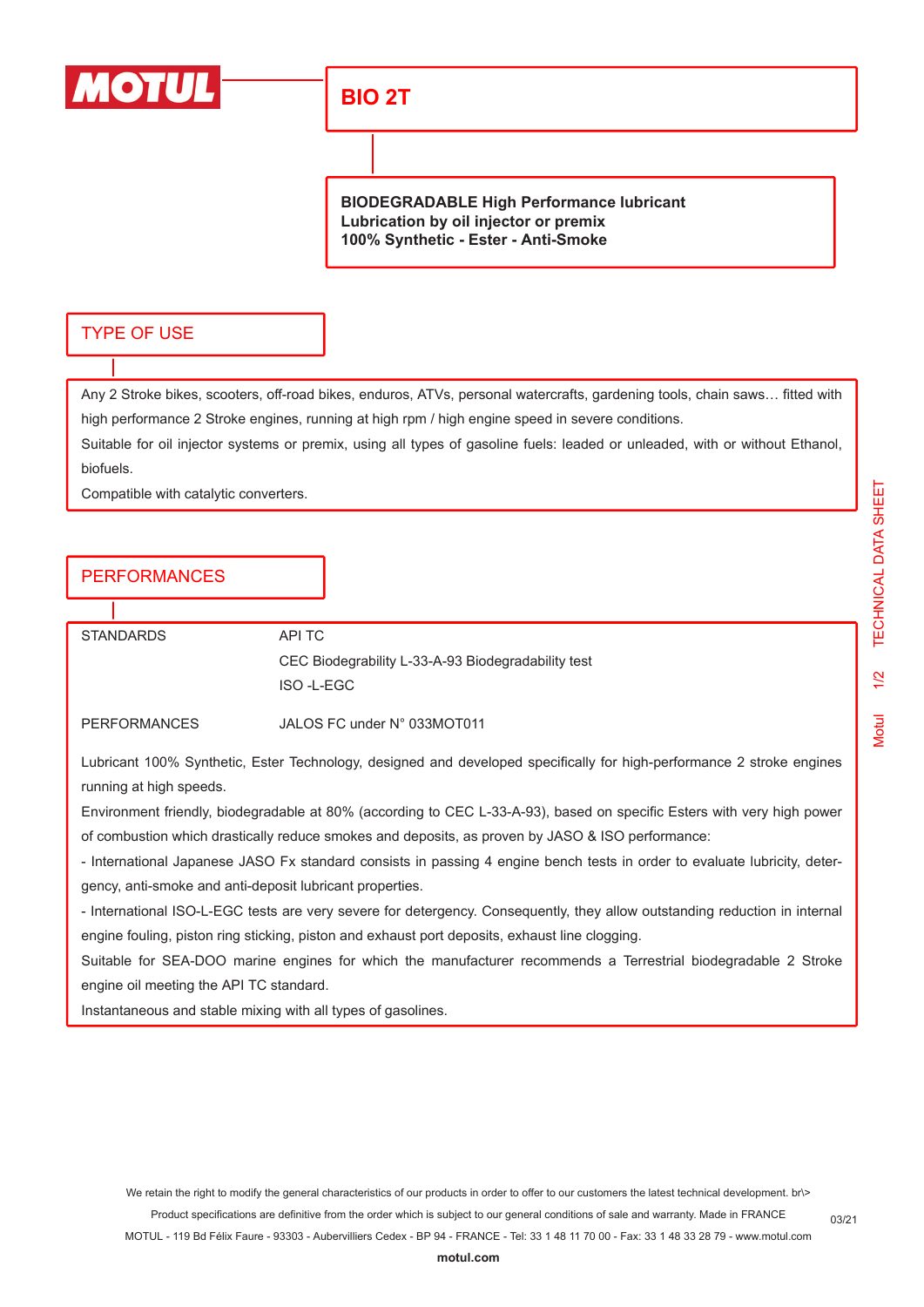

# **BIO 2T**

**BIODEGRADABLE High Performance lubricant Lubrication by oil injector or premix 100% Synthetic - Ester - Anti-Smoke**

#### TYPE OF USE

Any 2 Stroke bikes, scooters, off-road bikes, enduros, ATVs, personal watercrafts, gardening tools, chain saws… fitted with high performance 2 Stroke engines, running at high rpm / high engine speed in severe conditions.

Suitable for oil injector systems or premix, using all types of gasoline fuels: leaded or unleaded, with or without Ethanol, biofuels.

Compatible with catalytic converters.

#### PERFORMANCES

| <b>STANDARDS</b>    | API TC                                             |
|---------------------|----------------------------------------------------|
|                     | CEC Biodegrability L-33-A-93 Biodegradability test |
|                     | ISO-L-EGC                                          |
| <b>PERFORMANCES</b> | JALOS FC under N° 033MOT011                        |
|                     |                                                    |

Lubricant 100% Synthetic, Ester Technology, designed and developed specifically for high-performance 2 stroke engines running at high speeds.

Environment friendly, biodegradable at 80% (according to CEC L-33-A-93), based on specific Esters with very high power of combustion which drastically reduce smokes and deposits, as proven by JASO & ISO performance:

- International Japanese JASO Fx standard consists in passing 4 engine bench tests in order to evaluate lubricity, detergency, anti-smoke and anti-deposit lubricant properties.

- International ISO-L-EGC tests are very severe for detergency. Consequently, they allow outstanding reduction in internal engine fouling, piston ring sticking, piston and exhaust port deposits, exhaust line clogging.

Suitable for SEA-DOO marine engines for which the manufacturer recommends a Terrestrial biodegradable 2 Stroke engine oil meeting the API TC standard.

Instantaneous and stable mixing with all types of gasolines.

Motul 1/2 TECHNICAL DATA SHEET

 $1/2$ 

**Motul** 

**TECHNICAL DATA SHEET**